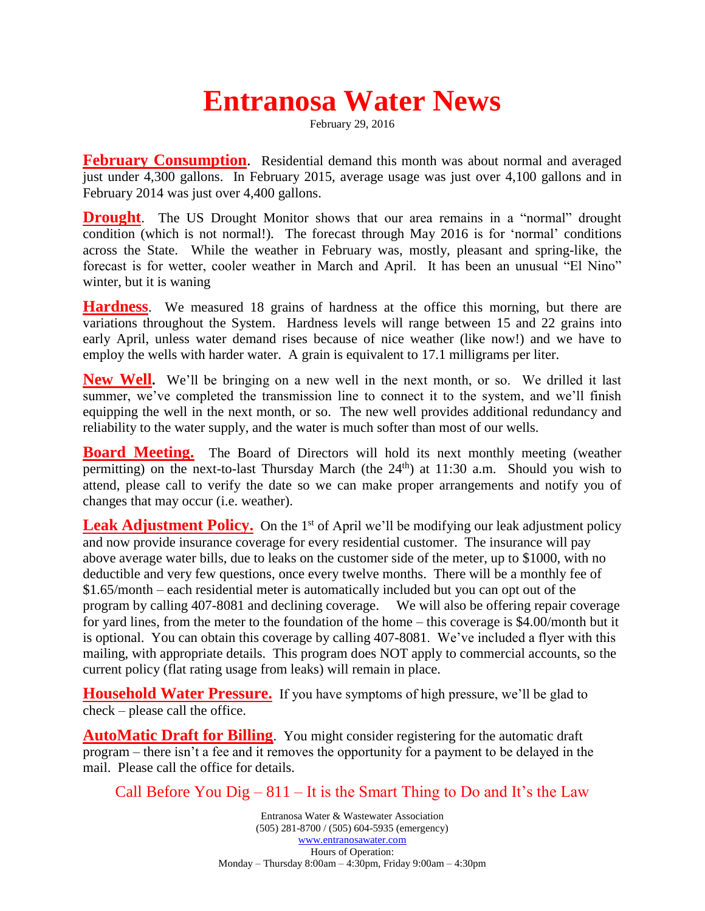## **Entranosa Water News**

February 29, 2016

**February Consumption**. Residential demand this month was about normal and averaged just under 4,300 gallons. In February 2015, average usage was just over 4,100 gallons and in February 2014 was just over 4,400 gallons.

**Drought**. The US Drought Monitor shows that our area remains in a "normal" drought condition (which is not normal!). The forecast through May 2016 is for 'normal' conditions across the State. While the weather in February was, mostly, pleasant and spring-like, the forecast is for wetter, cooler weather in March and April. It has been an unusual "El Nino" winter, but it is waning

**Hardness**. We measured 18 grains of hardness at the office this morning, but there are variations throughout the System. Hardness levels will range between 15 and 22 grains into early April, unless water demand rises because of nice weather (like now!) and we have to employ the wells with harder water. A grain is equivalent to 17.1 milligrams per liter.

**New Well.** We'll be bringing on a new well in the next month, or so. We drilled it last summer, we've completed the transmission line to connect it to the system, and we'll finish equipping the well in the next month, or so. The new well provides additional redundancy and reliability to the water supply, and the water is much softer than most of our wells.

**Board Meeting.** The Board of Directors will hold its next monthly meeting (weather permitting) on the next-to-last Thursday March (the  $24<sup>th</sup>$ ) at 11:30 a.m. Should you wish to attend, please call to verify the date so we can make proper arrangements and notify you of changes that may occur (i.e. weather).

**Leak Adjustment Policy.** On the 1<sup>st</sup> of April we'll be modifying our leak adjustment policy and now provide insurance coverage for every residential customer. The insurance will pay above average water bills, due to leaks on the customer side of the meter, up to \$1000, with no deductible and very few questions, once every twelve months. There will be a monthly fee of \$1.65/month – each residential meter is automatically included but you can opt out of the program by calling 407-8081 and declining coverage. We will also be offering repair coverage for yard lines, from the meter to the foundation of the home – this coverage is \$4.00/month but it is optional. You can obtain this coverage by calling 407-8081. We've included a flyer with this mailing, with appropriate details. This program does NOT apply to commercial accounts, so the current policy (flat rating usage from leaks) will remain in place.

**Household Water Pressure.** If you have symptoms of high pressure, we'll be glad to check – please call the office.

**AutoMatic Draft for Billing**. You might consider registering for the automatic draft program – there isn't a fee and it removes the opportunity for a payment to be delayed in the mail. Please call the office for details.

Call Before You  $\text{Di}g - 811 - \text{It}$  is the Smart Thing to Do and It's the Law